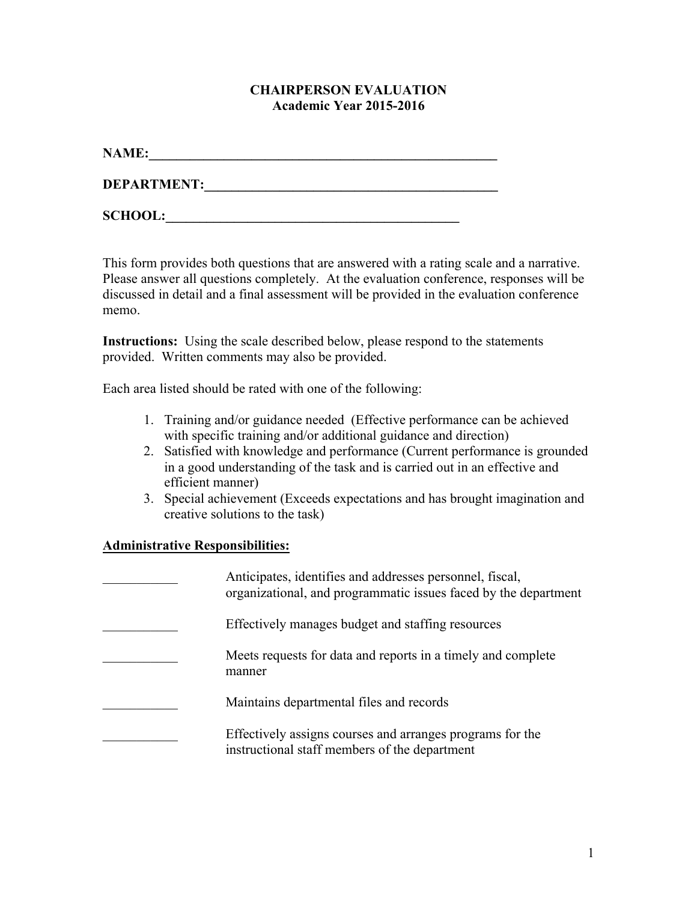#### **CHAIRPERSON EVALUATION Academic Year 2015-2016**

| <b>NAME:</b>       |  |  |
|--------------------|--|--|
| <b>DEPARTMENT:</b> |  |  |

**SCHOOL:\_\_\_\_\_\_\_\_\_\_\_\_\_\_\_\_\_\_\_\_\_\_\_\_\_\_\_\_\_\_\_\_\_\_\_\_\_\_\_\_\_\_\_** 

This form provides both questions that are answered with a rating scale and a narrative. Please answer all questions completely. At the evaluation conference, responses will be discussed in detail and a final assessment will be provided in the evaluation conference

**Instructions:** Using the scale described below, please respond to the statements provided. Written comments may also be provided.

Each area listed should be rated with one of the following:

- 1. Training and/or guidance needed (Effective performance can be achieved with specific training and/or additional guidance and direction)
- 2. Satisfied with knowledge and performance (Current performance is grounded in a good understanding of the task and is carried out in an effective and efficient manner)
- 3. Special achievement (Exceeds expectations and has brought imagination and creative solutions to the task)

# **Administrative Responsibilities:**

memo.

| Anticipates, identifies and addresses personnel, fiscal,<br>organizational, and programmatic issues faced by the department |
|-----------------------------------------------------------------------------------------------------------------------------|
| Effectively manages budget and staffing resources                                                                           |
| Meets requests for data and reports in a timely and complete<br>manner                                                      |
| Maintains departmental files and records                                                                                    |
| Effectively assigns courses and arranges programs for the<br>instructional staff members of the department                  |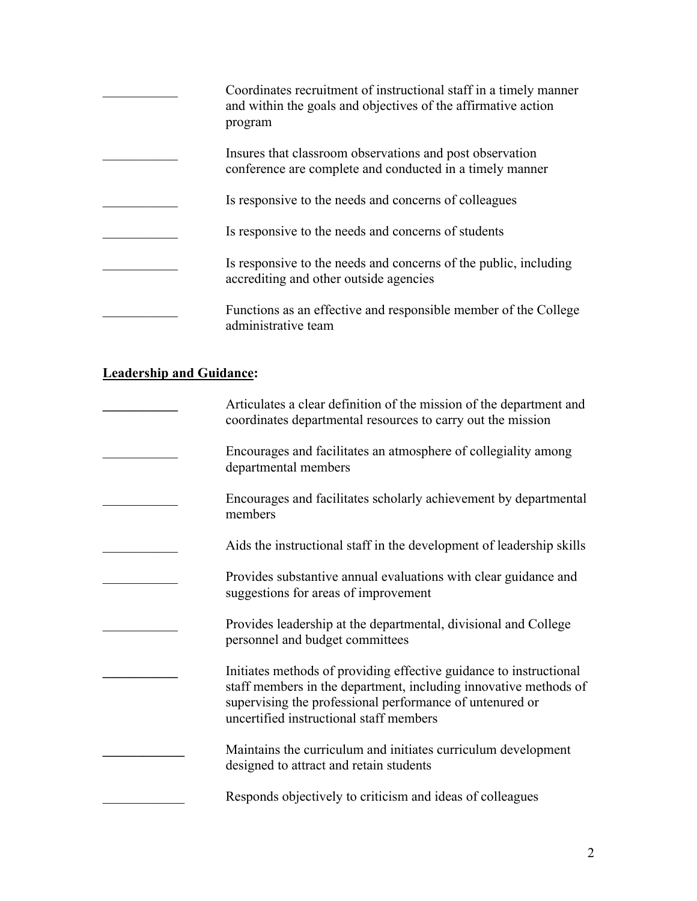| Coordinates recruitment of instructional staff in a timely manner<br>and within the goals and objectives of the affirmative action<br>program |
|-----------------------------------------------------------------------------------------------------------------------------------------------|
| Insures that classroom observations and post observation<br>conference are complete and conducted in a timely manner                          |
| Is responsive to the needs and concerns of colleagues                                                                                         |
| Is responsive to the needs and concerns of students                                                                                           |
| Is responsive to the needs and concerns of the public, including<br>accrediting and other outside agencies                                    |
| Functions as an effective and responsible member of the College<br>administrative team                                                        |

#### **Leadership and Guidance:**

| Articulates a clear definition of the mission of the department and<br>coordinates departmental resources to carry out the mission                                                                                                            |
|-----------------------------------------------------------------------------------------------------------------------------------------------------------------------------------------------------------------------------------------------|
| Encourages and facilitates an atmosphere of collegiality among<br>departmental members                                                                                                                                                        |
| Encourages and facilitates scholarly achievement by departmental<br>members                                                                                                                                                                   |
| Aids the instructional staff in the development of leadership skills                                                                                                                                                                          |
| Provides substantive annual evaluations with clear guidance and<br>suggestions for areas of improvement                                                                                                                                       |
| Provides leadership at the departmental, divisional and College<br>personnel and budget committees                                                                                                                                            |
| Initiates methods of providing effective guidance to instructional<br>staff members in the department, including innovative methods of<br>supervising the professional performance of untenured or<br>uncertified instructional staff members |
| Maintains the curriculum and initiates curriculum development<br>designed to attract and retain students                                                                                                                                      |
| Responds objectively to criticism and ideas of colleagues                                                                                                                                                                                     |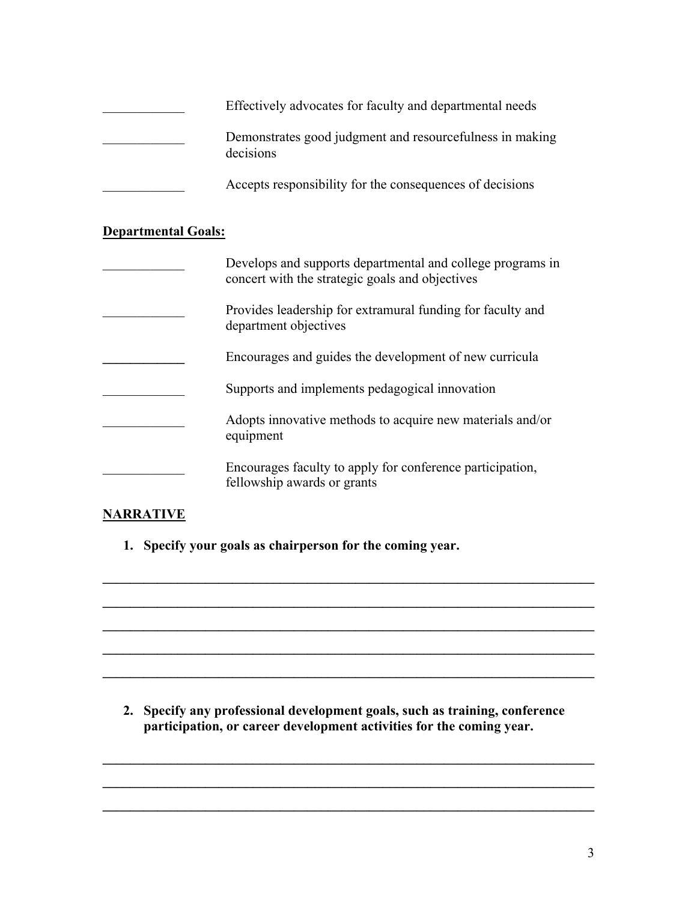| Effectively advocates for faculty and departmental needs              |
|-----------------------------------------------------------------------|
| Demonstrates good judgment and resourcefulness in making<br>decisions |
| Accepts responsibility for the consequences of decisions              |

### **Departmental Goals:**

| Develops and supports departmental and college programs in<br>concert with the strategic goals and objectives |
|---------------------------------------------------------------------------------------------------------------|
| Provides leadership for extramural funding for faculty and<br>department objectives                           |
| Encourages and guides the development of new curricula                                                        |
| Supports and implements pedagogical innovation                                                                |
| Adopts innovative methods to acquire new materials and/or<br>equipment                                        |
| Encourages faculty to apply for conference participation,<br>fellowship awards or grants                      |

## **NARRATIVE**

**1. Specify your goals as chairperson for the coming year.** 

**2. Specify any professional development goals, such as training, conference participation, or career development activities for the coming year.** 

**\_\_\_\_\_\_\_\_\_\_\_\_\_\_\_\_\_\_\_\_\_\_\_\_\_\_\_\_\_\_\_\_\_\_\_\_\_\_\_\_\_\_\_\_\_\_\_\_\_\_\_\_\_\_\_\_\_\_\_\_\_\_\_\_\_\_\_\_\_\_\_\_** 

**\_\_\_\_\_\_\_\_\_\_\_\_\_\_\_\_\_\_\_\_\_\_\_\_\_\_\_\_\_\_\_\_\_\_\_\_\_\_\_\_\_\_\_\_\_\_\_\_\_\_\_\_\_\_\_\_\_\_\_\_\_\_\_\_\_\_\_\_\_\_\_\_** 

**\_\_\_\_\_\_\_\_\_\_\_\_\_\_\_\_\_\_\_\_\_\_\_\_\_\_\_\_\_\_\_\_\_\_\_\_\_\_\_\_\_\_\_\_\_\_\_\_\_\_\_\_\_\_\_\_\_\_\_\_\_\_\_\_\_\_\_\_\_\_\_\_** 

 $\mathcal{L}_\mathcal{L} = \{ \mathcal{L}_\mathcal{L} = \{ \mathcal{L}_\mathcal{L} = \{ \mathcal{L}_\mathcal{L} = \{ \mathcal{L}_\mathcal{L} = \{ \mathcal{L}_\mathcal{L} = \{ \mathcal{L}_\mathcal{L} = \{ \mathcal{L}_\mathcal{L} = \{ \mathcal{L}_\mathcal{L} = \{ \mathcal{L}_\mathcal{L} = \{ \mathcal{L}_\mathcal{L} = \{ \mathcal{L}_\mathcal{L} = \{ \mathcal{L}_\mathcal{L} = \{ \mathcal{L}_\mathcal{L} = \{ \mathcal{L}_\mathcal{$ 

**\_\_\_\_\_\_\_\_\_\_\_\_\_\_\_\_\_\_\_\_\_\_\_\_\_\_\_\_\_\_\_\_\_\_\_\_\_\_\_\_\_\_\_\_\_\_\_\_\_\_\_\_\_\_\_\_\_\_\_\_\_\_\_\_\_\_\_\_\_\_\_\_** 

**\_\_\_\_\_\_\_\_\_\_\_\_\_\_\_\_\_\_\_\_\_\_\_\_\_\_\_\_\_\_\_\_\_\_\_\_\_\_\_\_\_\_\_\_\_\_\_\_\_\_\_\_\_\_\_\_\_\_\_\_\_\_\_\_\_\_\_\_\_\_\_\_** 

**\_\_\_\_\_\_\_\_\_\_\_\_\_\_\_\_\_\_\_\_\_\_\_\_\_\_\_\_\_\_\_\_\_\_\_\_\_\_\_\_\_\_\_\_\_\_\_\_\_\_\_\_\_\_\_\_\_\_\_\_\_\_\_\_\_\_\_\_\_\_\_\_** 

**\_\_\_\_\_\_\_\_\_\_\_\_\_\_\_\_\_\_\_\_\_\_\_\_\_\_\_\_\_\_\_\_\_\_\_\_\_\_\_\_\_\_\_\_\_\_\_\_\_\_\_\_\_\_\_\_\_\_\_\_\_\_\_\_\_\_\_\_\_\_\_\_**